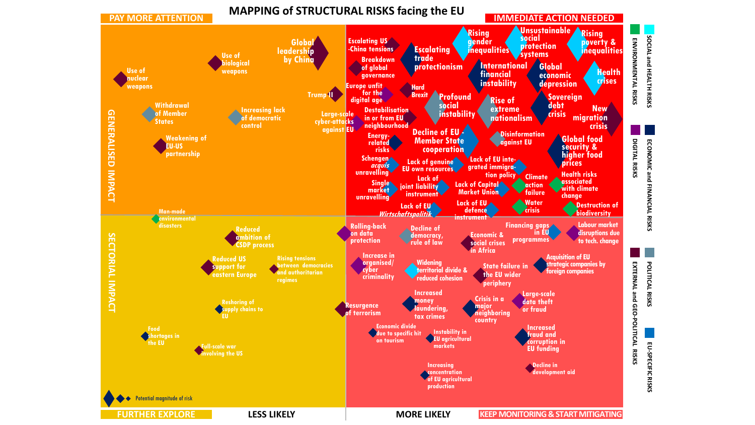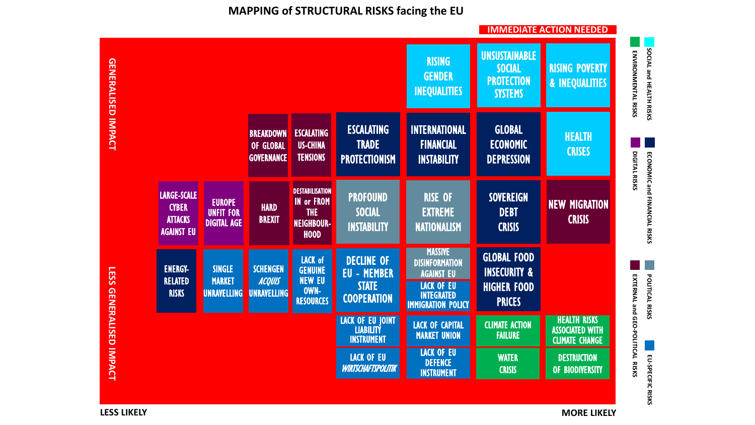## **MAPPING of STRUCTURAL RISKS facing the EU**



**LESS LIKELY**

**MORE LIKELY**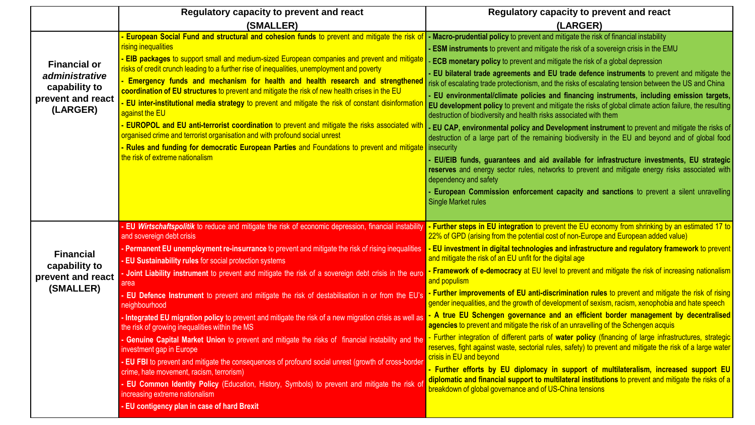|                                                                                         | Regulatory capacity to prevent and react                                                                                                                                                                                                                                                                                                                                                                                                                                                                                                                                                                                                                                                                                                                                                                                                                                                                                                                                                                                                                                                                                                                           | Regulatory capacity to prevent and react                                                                                                                                                                                                                                                                                                                                                                                                                                                                                                                                                                                                                                                                                                                                                                                                                                                                                                                                                                                                                                                                                                                                                                                                                                                                                                                                        |
|-----------------------------------------------------------------------------------------|--------------------------------------------------------------------------------------------------------------------------------------------------------------------------------------------------------------------------------------------------------------------------------------------------------------------------------------------------------------------------------------------------------------------------------------------------------------------------------------------------------------------------------------------------------------------------------------------------------------------------------------------------------------------------------------------------------------------------------------------------------------------------------------------------------------------------------------------------------------------------------------------------------------------------------------------------------------------------------------------------------------------------------------------------------------------------------------------------------------------------------------------------------------------|---------------------------------------------------------------------------------------------------------------------------------------------------------------------------------------------------------------------------------------------------------------------------------------------------------------------------------------------------------------------------------------------------------------------------------------------------------------------------------------------------------------------------------------------------------------------------------------------------------------------------------------------------------------------------------------------------------------------------------------------------------------------------------------------------------------------------------------------------------------------------------------------------------------------------------------------------------------------------------------------------------------------------------------------------------------------------------------------------------------------------------------------------------------------------------------------------------------------------------------------------------------------------------------------------------------------------------------------------------------------------------|
|                                                                                         | (SMALLER)                                                                                                                                                                                                                                                                                                                                                                                                                                                                                                                                                                                                                                                                                                                                                                                                                                                                                                                                                                                                                                                                                                                                                          | (LARGER)                                                                                                                                                                                                                                                                                                                                                                                                                                                                                                                                                                                                                                                                                                                                                                                                                                                                                                                                                                                                                                                                                                                                                                                                                                                                                                                                                                        |
| <b>Financial or</b><br>administrative<br>capability to<br>prevent and react<br>(LARGER) | European Social Fund and structural and cohesion funds to prevent and mitigate the risk of<br>rising inequalities<br>- EIB packages to support small and medium-sized European companies and prevent and mitigate<br>risks of credit crunch leading to a further rise of inequalities, unemployment and poverty<br>Emergency funds and mechanism for health and health research and strengthened<br>coordination of EU structures to prevent and mitigate the risk of new health crises in the EU<br><b>EU inter-institutional media strategy to prevent and mitigate the risk of constant disinformation</b><br>against the EU<br><b>EUROPOL and EU anti-terrorist coordination</b> to prevent and mitigate the risks associated with<br>organised crime and terrorist organisation and with profound social unrest<br>Rules and funding for democratic European Parties and Foundations to prevent and mitigate<br>the risk of extreme nationalism                                                                                                                                                                                                               | - Macro-prudential policy to prevent and mitigate the risk of financial instability<br><b>ESM instruments</b> to prevent and mitigate the risk of a sovereign crisis in the EMU<br><b>ECB monetary policy</b> to prevent and mitigate the risk of a global depression<br>EU bilateral trade agreements and EU trade defence instruments to prevent and mitigate the<br>risk of escalating trade protectionism, and the risks of escalating tension between the US and China<br>EU environmental/climate policies and financing instruments, including emission targets,<br>EU development policy to prevent and mitigate the risks of global climate action failure, the resulting<br>destruction of biodiversity and health risks associated with them<br>- EU CAP, environmental policy and Development instrument to prevent and mitigate the risks of<br>destruction of a large part of the remaining biodiversity in the EU and beyond and of global food<br>insecurity<br>EU/EIB funds, guarantees and aid available for infrastructure investments, EU strategic<br>reserves and energy sector rules, networks to prevent and mitigate energy risks associated with<br>dependency and safety<br>European Commission enforcement capacity and sanctions to prevent a silent unravelling<br><b>Single Market rules</b>                                                     |
| <b>Financial</b><br>capability to<br>prevent and react<br>(SMALLER)                     | - EU Wirtschaftspolitik to reduce and mitigate the risk of economic depression, financial instability<br>and sovereign debt crisis<br>- Permanent EU unemployment re-insurrance to prevent and mitigate the risk of rising inequalities<br>- EU Sustainability rules for social protection systems<br>Joint Liability instrument to prevent and mitigate the risk of a sovereign debt crisis in the euro<br>area<br>EU Defence Instrument to prevent and mitigate the risk of destabilisation in or from the EU's<br>neighbourhood<br>- Integrated EU migration policy to prevent and mitigate the risk of a new migration crisis as well as<br>the risk of growing inequalities within the MS<br>Genuine Capital Market Union to prevent and mitigate the risks of financial instability and the<br>investment gap in Europe<br>- EU FBI to prevent and mitigate the consequences of profound social unrest (growth of cross-border<br>crime, hate movement, racism, terrorism)<br>- EU Common Identity Policy (Education, History, Symbols) to prevent and mitigate the risk of<br>increasing extreme nationalism<br>- EU contigency plan in case of hard Brexit | - Further steps in EU integration to prevent the EU economy from shrinking by an estimated 17 to<br>22% of GPD (arising from the potential cost of non-Europe and European added value)<br>- EU investment in digital technologies and infrastructure and regulatory framework to prevent<br>and mitigate the risk of an EU unfit for the digital age<br>- Framework of e-democracy at EU level to prevent and mitigate the risk of increasing nationalism<br>and populism<br>- Further improvements of EU anti-discrimination rules to prevent and mitigate the risk of rising<br>gender inequalities, and the growth of development of sexism, racism, xenophobia and hate speech<br>- A true EU Schengen governance and an efficient border management by decentralised<br>agencies to prevent and mitigate the risk of an unravelling of the Schengen acquis<br>- Further integration of different parts of water policy (financing of large infrastructures, strategic<br>reserves, fight against waste, sectorial rules, safety) to prevent and mitigate the risk of a large water<br>crisis in EU and beyond<br>- Further efforts by EU diplomacy in support of multilateralism, increased support EU<br>diplomatic and financial support to multilateral institutions to prevent and mitigate the risks of a<br>breakdown of global governance and of US-China tensions |